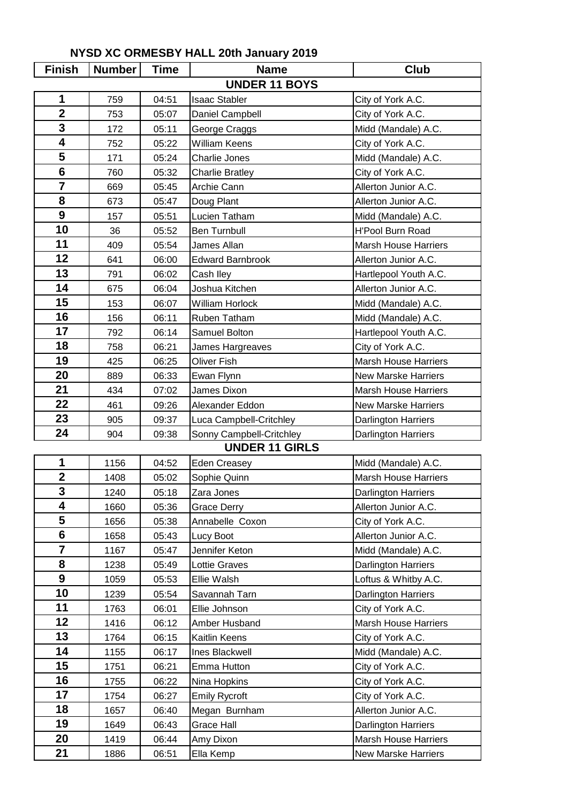| <b>Finish</b>           | <b>Number</b> | <b>Time</b>    | <b>Name</b>                   | Club                                     |
|-------------------------|---------------|----------------|-------------------------------|------------------------------------------|
|                         |               |                | <b>UNDER 11 BOYS</b>          |                                          |
| 1                       | 759           | 04:51          | <b>Isaac Stabler</b>          | City of York A.C.                        |
| $\overline{2}$          | 753           | 05:07          | Daniel Campbell               | City of York A.C.                        |
| $\mathbf{3}$            | 172           | 05:11          | George Craggs                 | Midd (Mandale) A.C.                      |
| $\overline{\mathbf{4}}$ | 752           | 05:22          | <b>William Keens</b>          | City of York A.C.                        |
| 5                       | 171           | 05:24          | Charlie Jones                 | Midd (Mandale) A.C.                      |
| $6\phantom{1}6$         | 760           | 05:32          | <b>Charlie Bratley</b>        | City of York A.C.                        |
| $\overline{\mathbf{7}}$ | 669           | 05:45          | Archie Cann                   | Allerton Junior A.C.                     |
| 8                       | 673           | 05:47          | Doug Plant                    | Allerton Junior A.C.                     |
| 9                       | 157           | 05:51          | Lucien Tatham                 | Midd (Mandale) A.C.                      |
| 10                      | 36            | 05:52          | <b>Ben Turnbull</b>           | H'Pool Burn Road                         |
| 11                      | 409           | 05:54          | James Allan                   | Marsh House Harriers                     |
| 12                      | 641           | 06:00          | <b>Edward Barnbrook</b>       | Allerton Junior A.C.                     |
| 13                      | 791           | 06:02          | Cash Iley                     | Hartlepool Youth A.C.                    |
| 14                      | 675           | 06:04          | Joshua Kitchen                | Allerton Junior A.C.                     |
| 15                      | 153           | 06:07          | William Horlock               | Midd (Mandale) A.C.                      |
| 16                      | 156           | 06:11          | Ruben Tatham                  | Midd (Mandale) A.C.                      |
| 17                      | 792           | 06:14          | Samuel Bolton                 | Hartlepool Youth A.C.                    |
| 18                      | 758           | 06:21          | James Hargreaves              | City of York A.C.                        |
| 19                      | 425           | 06:25          | <b>Oliver Fish</b>            | <b>Marsh House Harriers</b>              |
| 20                      | 889           | 06:33          | Ewan Flynn                    | <b>New Marske Harriers</b>               |
| 21                      | 434           | 07:02          | James Dixon                   | <b>Marsh House Harriers</b>              |
| 22                      | 461           | 09:26          | Alexander Eddon               | <b>New Marske Harriers</b>               |
| 23                      | 905           | 09:37          | Luca Campbell-Critchley       | Darlington Harriers                      |
| 24                      | 904           | 09:38          | Sonny Campbell-Critchley      | <b>Darlington Harriers</b>               |
|                         |               |                | <b>UNDER 11 GIRLS</b>         |                                          |
| 1                       | 1156          | 04:52          | <b>Eden Creasey</b>           | Midd (Mandale) A.C.                      |
| $\overline{2}$          | 1408          | 05:02          | Sophie Quinn                  | <b>Marsh House Harriers</b>              |
| 3                       | 1240          | 05:18          | Zara Jones                    | Darlington Harriers                      |
| 4                       | 1660          | 05:36          | Grace Derry                   | Allerton Junior A.C.                     |
| 5                       | 1656          | 05:38          | Annabelle Coxon               | City of York A.C.                        |
| 6<br>$\overline{7}$     | 1658          | 05:43          | Lucy Boot                     | Allerton Junior A.C.                     |
|                         | 1167          | 05:47          | Jennifer Keton                | Midd (Mandale) A.C.                      |
| 8                       | 1238          | 05:49          | Lottie Graves                 | Darlington Harriers                      |
| 9<br>10                 | 1059          | 05:53          | Ellie Walsh                   | Loftus & Whitby A.C.                     |
| 11                      | 1239          | 05:54          | Savannah Tarn                 | <b>Darlington Harriers</b>               |
| 12                      | 1763          | 06:01          | Ellie Johnson                 | City of York A.C.                        |
| 13                      | 1416          | 06:12          | Amber Husband                 | <b>Marsh House Harriers</b>              |
| 14                      | 1764          | 06:15          | Kaitlin Keens                 | City of York A.C.                        |
| 15                      | 1155          | 06:17<br>06:21 | Ines Blackwell<br>Emma Hutton | Midd (Mandale) A.C.<br>City of York A.C. |
| 16                      | 1751<br>1755  | 06:22          | Nina Hopkins                  | City of York A.C.                        |
| 17                      | 1754          | 06:27          | <b>Emily Rycroft</b>          | City of York A.C.                        |
| 18                      | 1657          | 06:40          | Megan Burnham                 | Allerton Junior A.C.                     |
| 19                      | 1649          | 06:43          | Grace Hall                    | <b>Darlington Harriers</b>               |
| 20                      | 1419          | 06:44          | Amy Dixon                     | <b>Marsh House Harriers</b>              |
| 21                      | 1886          | 06:51          | Ella Kemp                     | New Marske Harriers                      |

## **NYSD XC ORMESBY HALL 20th January 2019**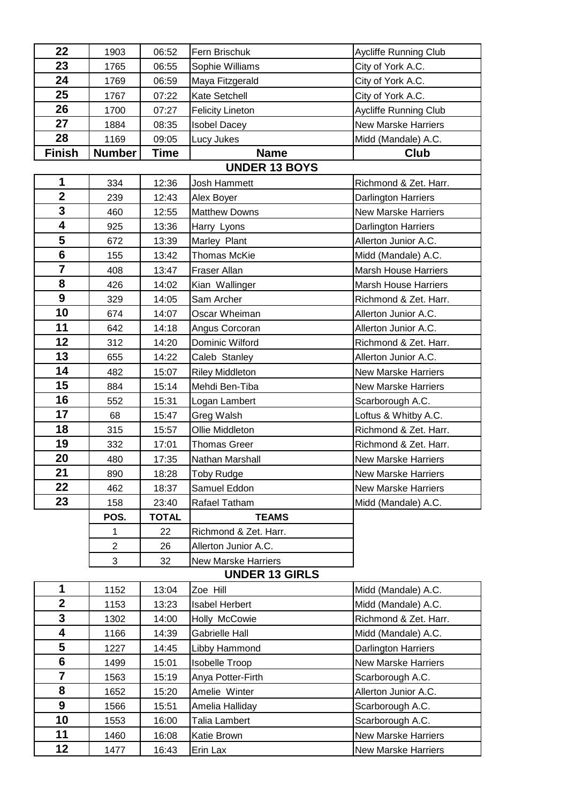| 22              | 1903           | 06:52        | Fern Brischuk              | Aycliffe Running Club       |
|-----------------|----------------|--------------|----------------------------|-----------------------------|
| 23              | 1765           | 06:55        | Sophie Williams            | City of York A.C.           |
| 24              | 1769           | 06:59        | Maya Fitzgerald            | City of York A.C.           |
| 25              | 1767           | 07:22        | Kate Setchell              | City of York A.C.           |
| 26              | 1700           | 07:27        | <b>Felicity Lineton</b>    | Aycliffe Running Club       |
| 27              | 1884           | 08:35        | <b>Isobel Dacey</b>        | <b>New Marske Harriers</b>  |
| 28              | 1169           | 09:05        | Lucy Jukes                 | Midd (Mandale) A.C.         |
| <b>Finish</b>   | <b>Number</b>  | Time         | <b>Name</b>                | Club                        |
|                 |                |              | <b>UNDER 13 BOYS</b>       |                             |
| 1               | 334            | 12:36        | Josh Hammett               | Richmond & Zet. Harr.       |
| $\overline{2}$  | 239            | 12:43        | Alex Boyer                 | Darlington Harriers         |
| 3               | 460            | 12:55        | <b>Matthew Downs</b>       | <b>New Marske Harriers</b>  |
| 4               | 925            | 13:36        | Harry Lyons                | Darlington Harriers         |
| 5               | 672            | 13:39        | Marley Plant               | Allerton Junior A.C.        |
| $6\phantom{1}6$ | 155            | 13:42        | <b>Thomas McKie</b>        | Midd (Mandale) A.C.         |
| $\overline{7}$  | 408            | 13:47        | Fraser Allan               | <b>Marsh House Harriers</b> |
| 8               | 426            | 14:02        | Kian Wallinger             | <b>Marsh House Harriers</b> |
| 9               | 329            | 14:05        | Sam Archer                 | Richmond & Zet. Harr.       |
| 10              | 674            | 14:07        | Oscar Wheiman              | Allerton Junior A.C.        |
| 11              | 642            | 14:18        | Angus Corcoran             | Allerton Junior A.C.        |
| 12              | 312            | 14:20        | Dominic Wilford            | Richmond & Zet. Harr.       |
| 13              | 655            | 14:22        | Caleb Stanley              | Allerton Junior A.C.        |
| 14              | 482            | 15:07        | <b>Riley Middleton</b>     | New Marske Harriers         |
| 15              | 884            | 15:14        | Mehdi Ben-Tiba             | <b>New Marske Harriers</b>  |
| 16              | 552            | 15:31        | Logan Lambert              | Scarborough A.C.            |
| 17              | 68             | 15:47        | Greg Walsh                 | Loftus & Whitby A.C.        |
| 18              | 315            | 15:57        | Ollie Middleton            | Richmond & Zet. Harr.       |
| 19              | 332            | 17:01        | <b>Thomas Greer</b>        | Richmond & Zet. Harr.       |
| 20              | 480            | 17:35        | Nathan Marshall            | <b>New Marske Harriers</b>  |
| 21              | 890            | 18:28        | Toby Rudge                 | New Marske Harriers         |
| 22              | 462            | 18:37        | Samuel Eddon               | <b>New Marske Harriers</b>  |
| 23              | 158            | 23:40        | Rafael Tatham              | Midd (Mandale) A.C.         |
|                 | POS.           | <b>TOTAL</b> | <b>TEAMS</b>               |                             |
|                 | 1              | 22           | Richmond & Zet. Harr.      |                             |
|                 | $\overline{2}$ | 26           | Allerton Junior A.C.       |                             |
|                 | 3              | 32           | <b>New Marske Harriers</b> |                             |
|                 |                |              | <b>UNDER 13 GIRLS</b>      |                             |
| 1               | 1152           | 13:04        | Zoe Hill                   | Midd (Mandale) A.C.         |
| $\overline{2}$  | 1153           | 13:23        | <b>Isabel Herbert</b>      | Midd (Mandale) A.C.         |
| 3               | 1302           | 14:00        | Holly McCowie              | Richmond & Zet. Harr.       |
| 4               | 1166           | 14:39        | Gabrielle Hall             | Midd (Mandale) A.C.         |
| 5               | 1227           | 14:45        | Libby Hammond              | <b>Darlington Harriers</b>  |
| $6\phantom{1}$  | 1499           | 15:01        | <b>Isobelle Troop</b>      | <b>New Marske Harriers</b>  |
| $\overline{7}$  | 1563           | 15:19        | Anya Potter-Firth          | Scarborough A.C.            |
| 8               | 1652           | 15:20        | Amelie Winter              | Allerton Junior A.C.        |
| 9               | 1566           | 15:51        | Amelia Halliday            | Scarborough A.C.            |
| 10              | 1553           | 16:00        | Talia Lambert              | Scarborough A.C.            |
| 11              | 1460           | 16:08        | Katie Brown                | <b>New Marske Harriers</b>  |
| 12              | 1477           | 16:43        | Erin Lax                   | <b>New Marske Harriers</b>  |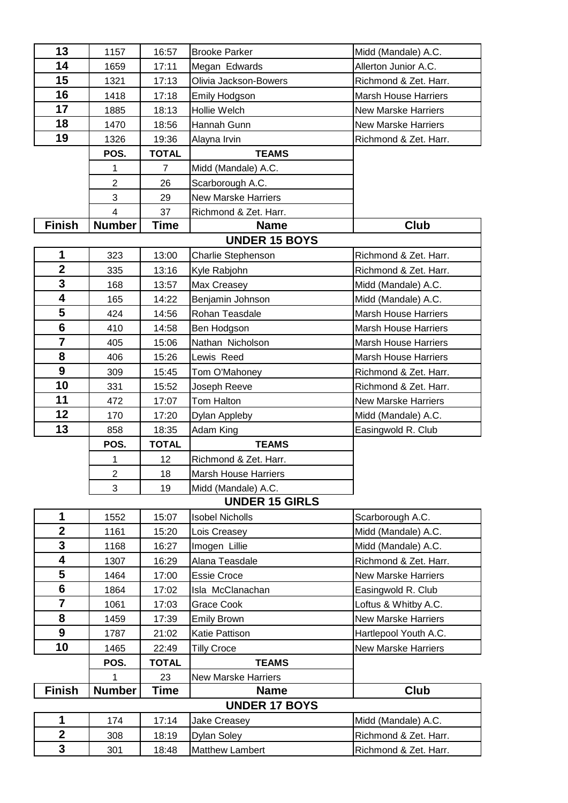| 13                      | 1157           | 16:57          | <b>Brooke Parker</b>       | Midd (Mandale) A.C.         |
|-------------------------|----------------|----------------|----------------------------|-----------------------------|
| 14                      | 1659           | 17:11          | Megan Edwards              | Allerton Junior A.C.        |
| 15                      | 1321           | 17:13          | Olivia Jackson-Bowers      | Richmond & Zet. Harr.       |
| 16                      | 1418           | 17:18          | Emily Hodgson              | <b>Marsh House Harriers</b> |
| 17                      | 1885           | 18:13          | Hollie Welch               | <b>New Marske Harriers</b>  |
| 18                      | 1470           | 18:56          | Hannah Gunn                | <b>New Marske Harriers</b>  |
| 19                      | 1326           | 19:36          | Alayna Irvin               | Richmond & Zet. Harr.       |
|                         | POS.           | <b>TOTAL</b>   | <b>TEAMS</b>               |                             |
|                         | 1              | $\overline{7}$ | Midd (Mandale) A.C.        |                             |
|                         | $\overline{2}$ | 26             | Scarborough A.C.           |                             |
|                         | 3              | 29             | <b>New Marske Harriers</b> |                             |
|                         | $\overline{4}$ | 37             | Richmond & Zet. Harr.      |                             |
| <b>Finish</b>           | <b>Number</b>  | <b>Time</b>    | <b>Name</b>                | Club                        |
|                         |                |                | <b>UNDER 15 BOYS</b>       |                             |
| 1                       | 323            | 13:00          | Charlie Stephenson         | Richmond & Zet. Harr.       |
| $\overline{2}$          | 335            | 13:16          | Kyle Rabjohn               | Richmond & Zet. Harr.       |
| 3                       | 168            | 13:57          | Max Creasey                | Midd (Mandale) A.C.         |
| 4                       | 165            | 14:22          | Benjamin Johnson           | Midd (Mandale) A.C.         |
| 5                       | 424            | 14:56          | Rohan Teasdale             | <b>Marsh House Harriers</b> |
| $6\phantom{1}6$         | 410            | 14:58          | Ben Hodgson                | <b>Marsh House Harriers</b> |
| 7                       | 405            | 15:06          | Nathan Nicholson           | <b>Marsh House Harriers</b> |
| 8                       | 406            | 15:26          | Lewis Reed                 | <b>Marsh House Harriers</b> |
| 9                       | 309            | 15:45          | Tom O'Mahoney              | Richmond & Zet. Harr.       |
| 10                      | 331            | 15:52          | Joseph Reeve               | Richmond & Zet. Harr.       |
| 11                      | 472            | 17:07          | Tom Halton                 | New Marske Harriers         |
| 12                      | 170            | 17:20          | Dylan Appleby              | Midd (Mandale) A.C.         |
| 13                      | 858            | 18:35          | Adam King                  | Easingwold R. Club          |
|                         | POS.           | <b>TOTAL</b>   | <b>TEAMS</b>               |                             |
|                         | 1              | 12             | Richmond & Zet. Harr.      |                             |
|                         | $\overline{c}$ | 18             | Marsh House Harriers       |                             |
|                         | 3              | 19             | Midd (Mandale) A.C.        |                             |
|                         |                |                | <b>UNDER 15 GIRLS</b>      |                             |
| 1                       | 1552           | 15:07          | <b>Isobel Nicholls</b>     | Scarborough A.C.            |
| $\mathbf{2}$            | 1161           | 15:20          | Lois Creasey               | Midd (Mandale) A.C.         |
| 3                       | 1168           | 16:27          | Imogen Lillie              | Midd (Mandale) A.C.         |
| 4                       | 1307           | 16:29          | Alana Teasdale             | Richmond & Zet. Harr.       |
| 5                       | 1464           | 17:00          | <b>Essie Croce</b>         | <b>New Marske Harriers</b>  |
| $6\phantom{1}$          | 1864           | 17:02          | Isla McClanachan           | Easingwold R. Club          |
| $\overline{7}$          | 1061           | 17:03          | Grace Cook                 | Loftus & Whitby A.C.        |
| 8                       | 1459           | 17:39          | <b>Emily Brown</b>         | <b>New Marske Harriers</b>  |
| 9                       | 1787           | 21:02          | Katie Pattison             | Hartlepool Youth A.C.       |
| 10                      | 1465           | 22:49          | <b>Tilly Croce</b>         | <b>New Marske Harriers</b>  |
|                         | POS.           | <b>TOTAL</b>   | <b>TEAMS</b>               |                             |
|                         | 1              | 23             | <b>New Marske Harriers</b> |                             |
| <b>Finish</b>           | <b>Number</b>  | <b>Time</b>    | <b>Name</b>                | <b>Club</b>                 |
|                         |                |                | <b>UNDER 17 BOYS</b>       |                             |
| 1                       | 174            | 17:14          | Jake Creasey               | Midd (Mandale) A.C.         |
| $\mathbf{2}$            | 308            | 18:19          | <b>Dylan Soley</b>         | Richmond & Zet. Harr.       |
| $\overline{\mathbf{3}}$ | 301            | 18:48          | Matthew Lambert            | Richmond & Zet. Harr.       |
|                         |                |                |                            |                             |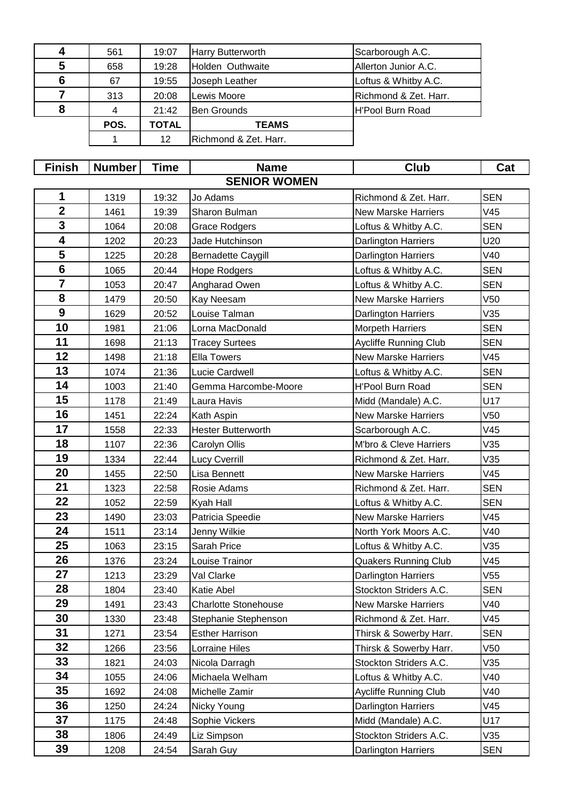| 4 | 561  | 19:07 | <b>Harry Butterworth</b> | Scarborough A.C.      |
|---|------|-------|--------------------------|-----------------------|
| 5 | 658  | 19:28 | Holden Outhwaite         | Allerton Junior A.C.  |
| 6 | 67   | 19:55 | Joseph Leather           | Loftus & Whitby A.C.  |
|   | 313  | 20:08 | Lewis Moore              | Richmond & Zet. Harr. |
| 8 |      | 21:42 | <b>Ben Grounds</b>       | H'Pool Burn Road      |
|   | POS. | TOTAL | <b>TEAMS</b>             |                       |
|   |      | 12    | Richmond & Zet. Harr.    |                       |

| <b>Finish</b>           | <b>Number</b> | Time  | <b>Name</b>                 | Club                         | Cat             |  |  |  |
|-------------------------|---------------|-------|-----------------------------|------------------------------|-----------------|--|--|--|
| <b>SENIOR WOMEN</b>     |               |       |                             |                              |                 |  |  |  |
| 1                       | 1319          | 19:32 | Jo Adams                    | Richmond & Zet. Harr.        | <b>SEN</b>      |  |  |  |
| $\mathbf{2}$            | 1461          | 19:39 | Sharon Bulman               | <b>New Marske Harriers</b>   | V45             |  |  |  |
| 3                       | 1064          | 20:08 | <b>Grace Rodgers</b>        | Loftus & Whitby A.C.         | <b>SEN</b>      |  |  |  |
| $\overline{\mathbf{4}}$ | 1202          | 20:23 | Jade Hutchinson             | <b>Darlington Harriers</b>   | U20             |  |  |  |
| 5                       | 1225          | 20:28 | <b>Bernadette Caygill</b>   | <b>Darlington Harriers</b>   | V40             |  |  |  |
| $6\phantom{1}6$         | 1065          | 20:44 | Hope Rodgers                | Loftus & Whitby A.C.         | <b>SEN</b>      |  |  |  |
| $\overline{\mathbf{7}}$ | 1053          | 20:47 | Angharad Owen               | Loftus & Whitby A.C.         | <b>SEN</b>      |  |  |  |
| 8                       | 1479          | 20:50 | Kay Neesam                  | <b>New Marske Harriers</b>   | V <sub>50</sub> |  |  |  |
| $\boldsymbol{9}$        | 1629          | 20:52 | Louise Talman               | Darlington Harriers          | V35             |  |  |  |
| 10                      | 1981          | 21:06 | Lorna MacDonald             | <b>Morpeth Harriers</b>      | <b>SEN</b>      |  |  |  |
| 11                      | 1698          | 21:13 | <b>Tracey Surtees</b>       | <b>Aycliffe Running Club</b> | <b>SEN</b>      |  |  |  |
| 12                      | 1498          | 21:18 | <b>Ella Towers</b>          | <b>New Marske Harriers</b>   | V45             |  |  |  |
| 13                      | 1074          | 21:36 | Lucie Cardwell              | Loftus & Whitby A.C.         | <b>SEN</b>      |  |  |  |
| 14                      | 1003          | 21:40 | Gemma Harcombe-Moore        | <b>H'Pool Burn Road</b>      | <b>SEN</b>      |  |  |  |
| 15                      | 1178          | 21:49 | Laura Havis                 | Midd (Mandale) A.C.          | U17             |  |  |  |
| 16                      | 1451          | 22:24 | Kath Aspin                  | <b>New Marske Harriers</b>   | V50             |  |  |  |
| 17                      | 1558          | 22:33 | <b>Hester Butterworth</b>   | Scarborough A.C.             | V45             |  |  |  |
| 18                      | 1107          | 22:36 | Carolyn Ollis               | M'bro & Cleve Harriers       | V35             |  |  |  |
| 19                      | 1334          | 22:44 | Lucy Cverrill               | Richmond & Zet. Harr.        | V35             |  |  |  |
| 20                      | 1455          | 22:50 | Lisa Bennett                | <b>New Marske Harriers</b>   | V45             |  |  |  |
| 21                      | 1323          | 22:58 | Rosie Adams                 | Richmond & Zet. Harr.        | <b>SEN</b>      |  |  |  |
| 22                      | 1052          | 22:59 | Kyah Hall                   | Loftus & Whitby A.C.         | <b>SEN</b>      |  |  |  |
| 23                      | 1490          | 23:03 | Patricia Speedie            | <b>New Marske Harriers</b>   | V45             |  |  |  |
| 24                      | 1511          | 23:14 | Jenny Wilkie                | North York Moors A.C.        | V40             |  |  |  |
| 25                      | 1063          | 23:15 | Sarah Price                 | Loftus & Whitby A.C.         | V35             |  |  |  |
| 26                      | 1376          | 23:24 | Louise Trainor              | <b>Quakers Running Club</b>  | V45             |  |  |  |
| 27                      | 1213          | 23:29 | Val Clarke                  | Darlington Harriers          | V <sub>55</sub> |  |  |  |
| 28                      | 1804          | 23:40 | Katie Abel                  | Stockton Striders A.C.       | <b>SEN</b>      |  |  |  |
| 29                      | 1491          | 23:43 | <b>Charlotte Stonehouse</b> | New Marske Harriers          | V40             |  |  |  |
| 30                      | 1330          | 23:48 | Stephanie Stephenson        | Richmond & Zet. Harr.        | V45             |  |  |  |
| 31                      | 1271          | 23:54 | <b>Esther Harrison</b>      | Thirsk & Sowerby Harr.       | <b>SEN</b>      |  |  |  |
| 32                      | 1266          | 23:56 | Lorraine Hiles              | Thirsk & Sowerby Harr.       | V50             |  |  |  |
| 33                      | 1821          | 24:03 | Nicola Darragh              | Stockton Striders A.C.       | V35             |  |  |  |
| 34                      | 1055          | 24:06 | Michaela Welham             | Loftus & Whitby A.C.         | V40             |  |  |  |
| 35                      | 1692          | 24:08 | Michelle Zamir              | <b>Aycliffe Running Club</b> | V40             |  |  |  |
| 36                      | 1250          | 24:24 | Nicky Young                 | <b>Darlington Harriers</b>   | V45             |  |  |  |
| 37                      | 1175          | 24:48 | Sophie Vickers              | Midd (Mandale) A.C.          | U17             |  |  |  |
| 38                      | 1806          | 24:49 | Liz Simpson                 | Stockton Striders A.C.       | V35             |  |  |  |
| 39                      | 1208          | 24:54 | Sarah Guy                   | <b>Darlington Harriers</b>   | <b>SEN</b>      |  |  |  |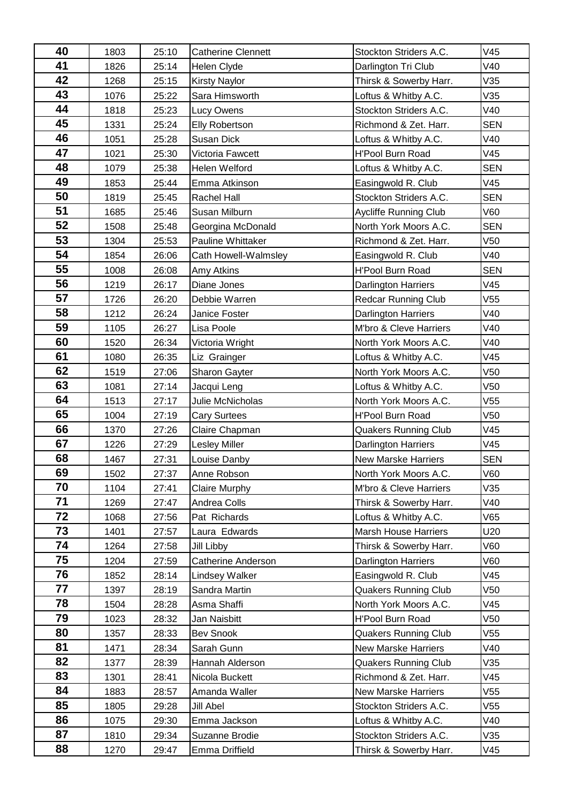| 40       | 1803         | 25:10          | <b>Catherine Clennett</b>      | Stockton Striders A.C.                               | V45        |
|----------|--------------|----------------|--------------------------------|------------------------------------------------------|------------|
| 41       | 1826         | 25:14          | <b>Helen Clyde</b>             | Darlington Tri Club                                  | V40        |
| 42       | 1268         | 25:15          | <b>Kirsty Naylor</b>           | Thirsk & Sowerby Harr.                               | V35        |
| 43       | 1076         | 25:22          | Sara Himsworth                 | Loftus & Whitby A.C.                                 | V35        |
| 44       | 1818         | 25:23          | Lucy Owens                     | Stockton Striders A.C.                               | V40        |
| 45       | 1331         | 25:24          | <b>Elly Robertson</b>          | Richmond & Zet. Harr.                                | <b>SEN</b> |
| 46       | 1051         | 25:28          | <b>Susan Dick</b>              | Loftus & Whitby A.C.                                 | V40        |
| 47       | 1021         | 25:30          | Victoria Fawcett               | H'Pool Burn Road                                     | V45        |
| 48       | 1079         | 25:38          | Helen Welford                  | Loftus & Whitby A.C.                                 | <b>SEN</b> |
| 49       | 1853         | 25:44          | Emma Atkinson                  | Easingwold R. Club                                   | V45        |
| 50       | 1819         | 25:45          | <b>Rachel Hall</b>             | Stockton Striders A.C.                               | <b>SEN</b> |
| 51       | 1685         | 25:46          | Susan Milburn                  | Aycliffe Running Club                                | V60        |
| 52       | 1508         | 25:48          | Georgina McDonald              | North York Moors A.C.                                | <b>SEN</b> |
| 53       | 1304         | 25:53          | Pauline Whittaker              | Richmond & Zet. Harr.                                | V50        |
| 54       | 1854         | 26:06          | Cath Howell-Walmsley           | Easingwold R. Club                                   | V40        |
| 55       | 1008         | 26:08          | <b>Amy Atkins</b>              | <b>H'Pool Burn Road</b>                              | <b>SEN</b> |
| 56       | 1219         | 26:17          | Diane Jones                    | <b>Darlington Harriers</b>                           | V45        |
| 57       | 1726         | 26:20          | Debbie Warren                  | <b>Redcar Running Club</b>                           | V55        |
| 58       | 1212         | 26:24          | Janice Foster                  | Darlington Harriers                                  | V40        |
| 59       | 1105         | 26:27          | Lisa Poole                     | M'bro & Cleve Harriers                               | V40        |
| 60       | 1520         | 26:34          | Victoria Wright                | North York Moors A.C.                                | V40        |
| 61       | 1080         | 26:35          | Liz Grainger                   | Loftus & Whitby A.C.                                 | V45        |
| 62       | 1519         | 27:06          | Sharon Gayter                  | North York Moors A.C.                                | V50        |
| 63       | 1081         | 27:14          | Jacqui Leng                    | Loftus & Whitby A.C.                                 | V50        |
| 64       | 1513         | 27:17          | Julie McNicholas               | North York Moors A.C.                                | V55        |
| 65       | 1004         | 27:19          | <b>Cary Surtees</b>            | H'Pool Burn Road                                     | V50        |
| 66       | 1370         | 27:26          | Claire Chapman                 | <b>Quakers Running Club</b>                          | V45        |
| 67       | 1226         | 27:29          | <b>Lesley Miller</b>           | <b>Darlington Harriers</b>                           | V45        |
| 68       | 1467         | 27:31          | Louise Danby                   | <b>New Marske Harriers</b>                           | <b>SEN</b> |
| 69       | 1502         | 27:37          | Anne Robson                    | North York Moors A.C.                                | V60        |
| 70       | 1104         | 27:41          | <b>Claire Murphy</b>           | M'bro & Cleve Harriers                               | V35        |
| 71       | 1269         | 27:47          | Andrea Colls                   | Thirsk & Sowerby Harr.                               | V40        |
| 72       | 1068         | 27:56          | Pat Richards                   | Loftus & Whitby A.C.                                 | V65        |
| 73       | 1401         | 27:57          | Laura Edwards                  | <b>Marsh House Harriers</b>                          | U20        |
| 74       | 1264         | 27:58          | Jill Libby                     | Thirsk & Sowerby Harr.                               | V60        |
| 75<br>76 | 1204         | 27:59          | Catherine Anderson             | <b>Darlington Harriers</b>                           | V60        |
| 77       | 1852         | 28:14          | <b>Lindsey Walker</b>          | Easingwold R. Club                                   | V45        |
| 78       | 1397         | 28:19          | Sandra Martin                  | <b>Quakers Running Club</b>                          | V50        |
| 79       | 1504         | 28:28          | Asma Shaffi                    | North York Moors A.C.                                | V45        |
| 80       | 1023         | 28:32          | Jan Naisbitt                   | H'Pool Burn Road                                     | V50        |
| 81       | 1357<br>1471 | 28:33          | <b>Bev Snook</b><br>Sarah Gunn | <b>Quakers Running Club</b>                          | V55<br>V40 |
| 82       | 1377         | 28:34<br>28:39 | Hannah Alderson                | New Marske Harriers                                  | V35        |
| 83       | 1301         | 28:41          | Nicola Buckett                 | <b>Quakers Running Club</b><br>Richmond & Zet. Harr. | V45        |
| 84       | 1883         |                | Amanda Waller                  | <b>New Marske Harriers</b>                           | V55        |
| 85       | 1805         | 28:57<br>29:28 | Jill Abel                      | Stockton Striders A.C.                               | V55        |
| 86       |              | 29:30          | Emma Jackson                   | Loftus & Whitby A.C.                                 | V40        |
| 87       | 1075<br>1810 | 29:34          | Suzanne Brodie                 | Stockton Striders A.C.                               | V35        |
| 88       |              |                |                                |                                                      |            |
|          | 1270         | 29:47          | Emma Driffield                 | Thirsk & Sowerby Harr.                               | V45        |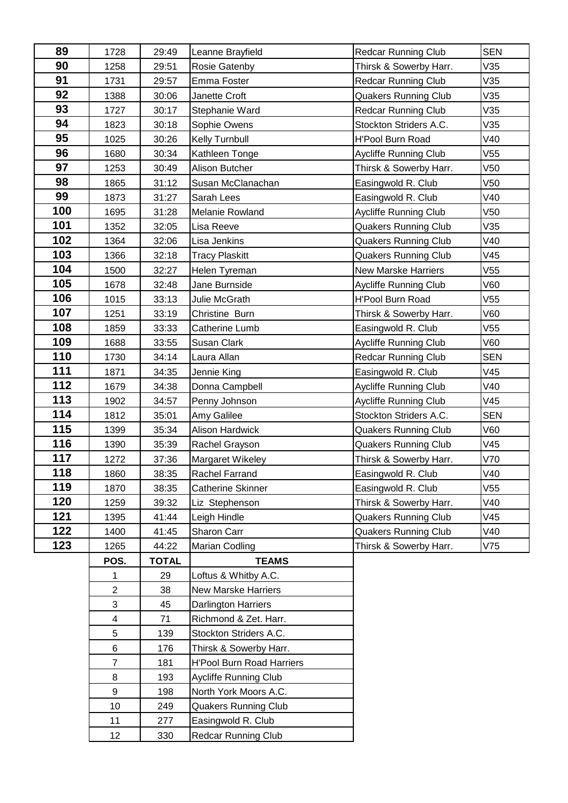| 89  | 1728             | 29:49        | Leanne Brayfield                 | <b>Redcar Running Club</b>   | <b>SEN</b> |
|-----|------------------|--------------|----------------------------------|------------------------------|------------|
| 90  | 1258             | 29:51        | Rosie Gatenby                    | Thirsk & Sowerby Harr.       | V35        |
| 91  | 1731             | 29:57        | Emma Foster                      | <b>Redcar Running Club</b>   | V35        |
| 92  | 1388             | 30:06        | Janette Croft                    | <b>Quakers Running Club</b>  | V35        |
| 93  | 1727             | 30:17        | Stephanie Ward                   | <b>Redcar Running Club</b>   | V35        |
| 94  | 1823             | 30:18        | Sophie Owens                     | Stockton Striders A.C.       | V35        |
| 95  | 1025             | 30:26        | Kelly Turnbull                   | H'Pool Burn Road             | V40        |
| 96  | 1680             | 30:34        | Kathleen Tonge                   | Aycliffe Running Club        | V55        |
| 97  | 1253             | 30:49        | Alison Butcher                   | Thirsk & Sowerby Harr.       | V50        |
| 98  | 1865             | 31:12        | Susan McClanachan                | Easingwold R. Club           | V50        |
| 99  | 1873             | 31:27        | Sarah Lees                       | Easingwold R. Club           | V40        |
| 100 | 1695             | 31:28        | Melanie Rowland                  | Aycliffe Running Club        | V50        |
| 101 | 1352             | 32:05        | Lisa Reeve                       | <b>Quakers Running Club</b>  | V35        |
| 102 | 1364             | 32:06        | Lisa Jenkins                     | <b>Quakers Running Club</b>  | V40        |
| 103 | 1366             | 32:18        | <b>Tracy Plaskitt</b>            | <b>Quakers Running Club</b>  | V45        |
| 104 | 1500             | 32:27        | Helen Tyreman                    | <b>New Marske Harriers</b>   | V55        |
| 105 | 1678             | 32:48        | Jane Burnside                    | <b>Aycliffe Running Club</b> | V60        |
| 106 | 1015             | 33:13        | Julie McGrath                    | H'Pool Burn Road             | V55        |
| 107 | 1251             | 33:19        | Christine Burn                   | Thirsk & Sowerby Harr.       | V60        |
| 108 | 1859             | 33:33        | Catherine Lumb                   | Easingwold R. Club           | V55        |
| 109 | 1688             | 33:55        | Susan Clark                      | <b>Aycliffe Running Club</b> | V60        |
| 110 | 1730             | 34:14        | Laura Allan                      | <b>Redcar Running Club</b>   | <b>SEN</b> |
| 111 | 1871             | 34:35        | Jennie King                      | Easingwold R. Club           | V45        |
| 112 | 1679             | 34:38        | Donna Campbell                   | Aycliffe Running Club        | V40        |
| 113 | 1902             | 34:57        | Penny Johnson                    | Aycliffe Running Club        | V45        |
| 114 | 1812             | 35:01        | Amy Galilee                      | Stockton Striders A.C.       | <b>SEN</b> |
| 115 | 1399             | 35:34        | Alison Hardwick                  | <b>Quakers Running Club</b>  | V60        |
| 116 | 1390             | 35:39        | Rachel Grayson                   | <b>Quakers Running Club</b>  | V45        |
| 117 | 1272             | 37:36        | Margaret Wikeley                 | Thirsk & Sowerby Harr.       | V70        |
| 118 | 1860             | 38:35        | Rachel Farrand                   | Easingwold R. Club           | V40        |
| 119 | 1870             | 38:35        | <b>Catherine Skinner</b>         | Easingwold R. Club           | V55        |
| 120 | 1259             | 39:32        | Liz Stephenson                   | Thirsk & Sowerby Harr.       | V40        |
| 121 | 1395             | 41:44        | Leigh Hindle                     | <b>Quakers Running Club</b>  | V45        |
| 122 | 1400             | 41:45        | Sharon Carr                      | <b>Quakers Running Club</b>  | V40        |
| 123 | 1265             | 44:22        | <b>Marian Codling</b>            | Thirsk & Sowerby Harr.       | V75        |
|     | POS.             | <b>TOTAL</b> | <b>TEAMS</b>                     |                              |            |
|     | 1                | 29           | Loftus & Whitby A.C.             |                              |            |
|     | $\overline{a}$   | 38           | <b>New Marske Harriers</b>       |                              |            |
|     | 3                | 45           | Darlington Harriers              |                              |            |
|     | $\overline{4}$   | 71           | Richmond & Zet. Harr.            |                              |            |
|     | 5                | 139          | Stockton Striders A.C.           |                              |            |
|     | 6                | 176          | Thirsk & Sowerby Harr.           |                              |            |
|     | $\overline{7}$   | 181          | <b>H'Pool Burn Road Harriers</b> |                              |            |
|     | 8                | 193          | <b>Aycliffe Running Club</b>     |                              |            |
|     | $\boldsymbol{9}$ | 198          | North York Moors A.C.            |                              |            |
|     | 10               | 249          | <b>Quakers Running Club</b>      |                              |            |
|     | 11               | 277          | Easingwold R. Club               |                              |            |
|     | 12 <sub>2</sub>  | 330          | <b>Redcar Running Club</b>       |                              |            |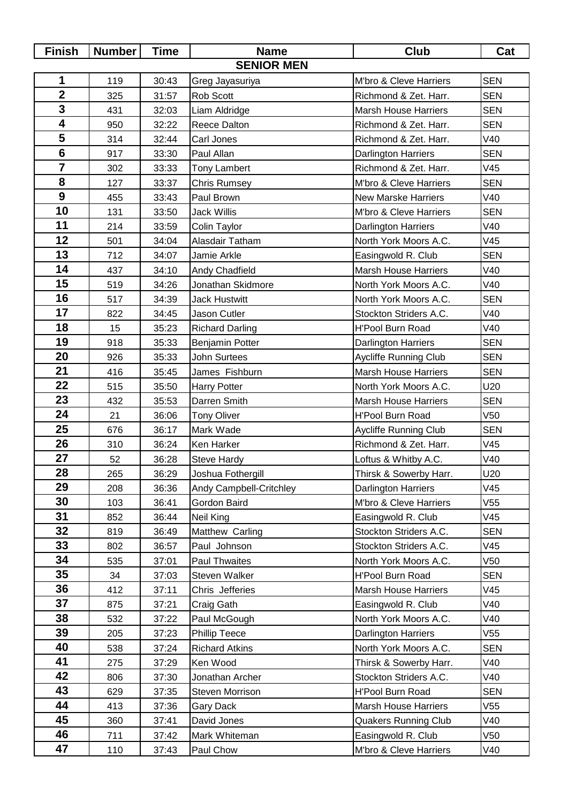| <b>Finish</b>           | <b>Number</b>     | <b>Time</b> | <b>Name</b>             | <b>Club</b>                  | Cat        |  |  |  |
|-------------------------|-------------------|-------------|-------------------------|------------------------------|------------|--|--|--|
|                         | <b>SENIOR MEN</b> |             |                         |                              |            |  |  |  |
| 1                       | 119               | 30:43       | Greg Jayasuriya         | M'bro & Cleve Harriers       | <b>SEN</b> |  |  |  |
| $\overline{\mathbf{2}}$ | 325               | 31:57       | Rob Scott               | Richmond & Zet. Harr.        | <b>SEN</b> |  |  |  |
| 3                       | 431               | 32:03       | Liam Aldridge           | <b>Marsh House Harriers</b>  | <b>SEN</b> |  |  |  |
| $\overline{\mathbf{4}}$ | 950               | 32:22       | Reece Dalton            | Richmond & Zet. Harr.        | <b>SEN</b> |  |  |  |
| 5                       | 314               | 32:44       | Carl Jones              | Richmond & Zet. Harr.        | V40        |  |  |  |
| $6\phantom{1}$          | 917               | 33:30       | Paul Allan              | Darlington Harriers          | <b>SEN</b> |  |  |  |
| $\overline{7}$          | 302               | 33:33       | <b>Tony Lambert</b>     | Richmond & Zet. Harr.        | V45        |  |  |  |
| 8                       | 127               | 33:37       | <b>Chris Rumsey</b>     | M'bro & Cleve Harriers       | <b>SEN</b> |  |  |  |
| 9                       | 455               | 33:43       | Paul Brown              | <b>New Marske Harriers</b>   | V40        |  |  |  |
| 10                      | 131               | 33:50       | <b>Jack Willis</b>      | M'bro & Cleve Harriers       | <b>SEN</b> |  |  |  |
| 11                      | 214               | 33:59       | Colin Taylor            | Darlington Harriers          | V40        |  |  |  |
| 12                      | 501               | 34:04       | Alasdair Tatham         | North York Moors A.C.        | V45        |  |  |  |
| 13                      | 712               | 34:07       | Jamie Arkle             | Easingwold R. Club           | <b>SEN</b> |  |  |  |
| 14                      | 437               | 34:10       | Andy Chadfield          | <b>Marsh House Harriers</b>  | V40        |  |  |  |
| 15                      | 519               | 34:26       | Jonathan Skidmore       | North York Moors A.C.        | V40        |  |  |  |
| 16                      | 517               | 34:39       | <b>Jack Hustwitt</b>    | North York Moors A.C.        | <b>SEN</b> |  |  |  |
| 17                      | 822               | 34:45       | Jason Cutler            | Stockton Striders A.C.       | V40        |  |  |  |
| 18                      | 15                | 35:23       | <b>Richard Darling</b>  | <b>H'Pool Burn Road</b>      | V40        |  |  |  |
| 19                      | 918               | 35:33       | Benjamin Potter         | Darlington Harriers          | <b>SEN</b> |  |  |  |
| 20                      | 926               | 35:33       | John Surtees            | Aycliffe Running Club        | <b>SEN</b> |  |  |  |
| 21                      | 416               | 35:45       | James Fishburn          | <b>Marsh House Harriers</b>  | <b>SEN</b> |  |  |  |
| 22                      | 515               | 35:50       | <b>Harry Potter</b>     | North York Moors A.C.        | U20        |  |  |  |
| 23                      | 432               | 35:53       | Darren Smith            | <b>Marsh House Harriers</b>  | <b>SEN</b> |  |  |  |
| 24                      | 21                | 36:06       | <b>Tony Oliver</b>      | <b>H'Pool Burn Road</b>      | V50        |  |  |  |
| 25                      | 676               | 36:17       | Mark Wade               | <b>Aycliffe Running Club</b> | <b>SEN</b> |  |  |  |
| 26                      | 310               | 36:24       | Ken Harker              | Richmond & Zet. Harr.        | V45        |  |  |  |
| 27                      | 52                | 36:28       | <b>Steve Hardy</b>      | Loftus & Whitby A.C.         | V40        |  |  |  |
| 28                      | 265               | 36:29       | Joshua Fothergill       | Thirsk & Sowerby Harr.       | U20        |  |  |  |
| 29                      | 208               | 36:36       | Andy Campbell-Critchley | <b>Darlington Harriers</b>   | V45        |  |  |  |
| 30                      | 103               | 36:41       | Gordon Baird            | M'bro & Cleve Harriers       | V55        |  |  |  |
| 31                      | 852               | 36:44       | Neil King               | Easingwold R. Club           | V45        |  |  |  |
| 32                      | 819               | 36:49       | Matthew Carling         | Stockton Striders A.C.       | <b>SEN</b> |  |  |  |
| 33                      | 802               | 36:57       | Paul Johnson            | Stockton Striders A.C.       | V45        |  |  |  |
| 34                      | 535               | 37:01       | <b>Paul Thwaites</b>    | North York Moors A.C.        | V50        |  |  |  |
| 35                      | 34                | 37:03       | Steven Walker           | <b>H'Pool Burn Road</b>      | <b>SEN</b> |  |  |  |
| 36                      | 412               | 37:11       | Chris Jefferies         | <b>Marsh House Harriers</b>  | V45        |  |  |  |
| 37                      | 875               | 37:21       | Craig Gath              | Easingwold R. Club           | V40        |  |  |  |
| 38                      | 532               | 37:22       | Paul McGough            | North York Moors A.C.        | V40        |  |  |  |
| 39                      | 205               | 37:23       | <b>Phillip Teece</b>    | Darlington Harriers          | V55        |  |  |  |
| 40                      | 538               | 37:24       | <b>Richard Atkins</b>   | North York Moors A.C.        | <b>SEN</b> |  |  |  |
| 41                      | 275               | 37:29       | Ken Wood                | Thirsk & Sowerby Harr.       | V40        |  |  |  |
| 42                      | 806               | 37:30       | Jonathan Archer         | Stockton Striders A.C.       | V40        |  |  |  |
| 43                      | 629               | 37:35       | Steven Morrison         | H'Pool Burn Road             | <b>SEN</b> |  |  |  |
| 44                      | 413               | 37:36       | Gary Dack               | <b>Marsh House Harriers</b>  | V55        |  |  |  |
| 45                      | 360               | 37:41       | David Jones             | <b>Quakers Running Club</b>  | V40        |  |  |  |
| 46                      | 711               | 37:42       | Mark Whiteman           | Easingwold R. Club           | V50        |  |  |  |
| 47                      | 110               | 37:43       | Paul Chow               | M'bro & Cleve Harriers       | V40        |  |  |  |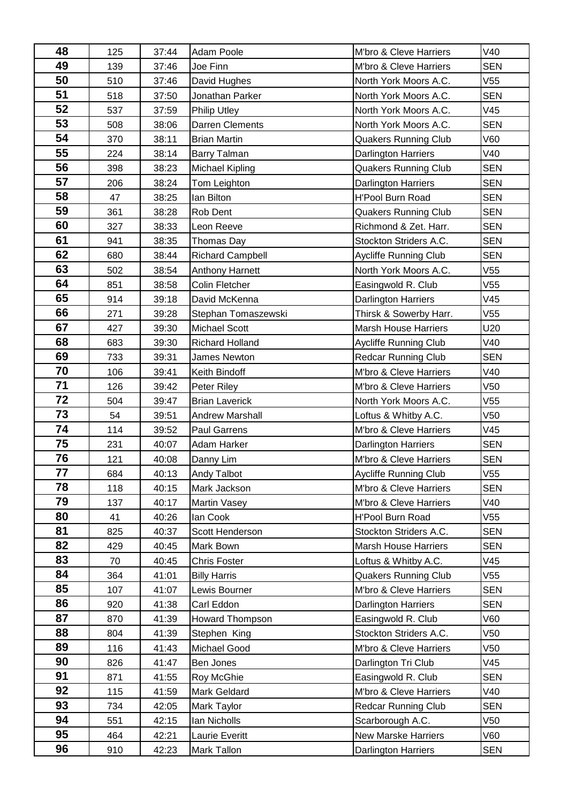| 48       | 125        | 37:44          | Adam Poole                           | M'bro & Cleve Harriers                                | V40               |
|----------|------------|----------------|--------------------------------------|-------------------------------------------------------|-------------------|
| 49       | 139        | 37:46          | Joe Finn                             | M'bro & Cleve Harriers                                | <b>SEN</b>        |
| 50       | 510        | 37:46          | David Hughes                         | North York Moors A.C.                                 | V55               |
| 51       | 518        | 37:50          | Jonathan Parker                      | North York Moors A.C.                                 | <b>SEN</b>        |
| 52       | 537        | 37:59          | Philip Utley                         | North York Moors A.C.                                 | V45               |
| 53       | 508        | 38:06          | Darren Clements                      | North York Moors A.C.                                 | <b>SEN</b>        |
| 54       | 370        | 38:11          | <b>Brian Martin</b>                  | <b>Quakers Running Club</b>                           | V60               |
| 55       | 224        | 38:14          | Barry Talman                         | Darlington Harriers                                   | V40               |
| 56       | 398        | 38:23          | <b>Michael Kipling</b>               | <b>Quakers Running Club</b>                           | <b>SEN</b>        |
| 57       | 206        | 38:24          | Tom Leighton                         | Darlington Harriers                                   | <b>SEN</b>        |
| 58       | 47         | 38:25          | lan Bilton                           | H'Pool Burn Road                                      | <b>SEN</b>        |
| 59       | 361        | 38:28          | Rob Dent                             | <b>Quakers Running Club</b>                           | <b>SEN</b>        |
| 60       | 327        | 38:33          | Leon Reeve                           | Richmond & Zet. Harr.                                 | <b>SEN</b>        |
| 61       | 941        | 38:35          | Thomas Day                           | Stockton Striders A.C.                                | <b>SEN</b>        |
| 62       | 680        | 38:44          | <b>Richard Campbell</b>              | <b>Aycliffe Running Club</b>                          | <b>SEN</b>        |
| 63       | 502        | 38:54          | Anthony Harnett                      | North York Moors A.C.                                 | V55               |
| 64       | 851        | 38:58          | <b>Colin Fletcher</b>                | Easingwold R. Club                                    | V55               |
| 65       | 914        | 39:18          | David McKenna                        | <b>Darlington Harriers</b>                            | V45               |
| 66       | 271        | 39:28          | Stephan Tomaszewski                  | Thirsk & Sowerby Harr.                                | V55               |
| 67       | 427        | 39:30          | <b>Michael Scott</b>                 | <b>Marsh House Harriers</b>                           | U20               |
| 68       | 683        | 39:30          | <b>Richard Holland</b>               | Aycliffe Running Club                                 | V40               |
| 69       | 733        | 39:31          | James Newton                         | <b>Redcar Running Club</b>                            | <b>SEN</b>        |
| 70       | 106        | 39:41          | Keith Bindoff                        | M'bro & Cleve Harriers                                | V40               |
| 71       | 126        | 39:42          | Peter Riley                          | M'bro & Cleve Harriers                                | V50               |
| 72       | 504        | 39:47          | <b>Brian Laverick</b>                | North York Moors A.C.                                 | V55               |
| 73       | 54         | 39:51          | <b>Andrew Marshall</b>               | Loftus & Whitby A.C.                                  | V50               |
| 74       | 114        | 39:52          | Paul Garrens                         | M'bro & Cleve Harriers                                | V45               |
| 75       | 231        | 40:07          | Adam Harker                          | Darlington Harriers                                   | <b>SEN</b>        |
| 76       | 121        | 40:08          | Danny Lim                            | M'bro & Cleve Harriers                                | <b>SEN</b>        |
| 77       | 684        | 40:13          | Andy Talbot                          | Aycliffe Running Club                                 | V <sub>55</sub>   |
| 78       | 118        | 40:15          | Mark Jackson                         | M'bro & Cleve Harriers                                | <b>SEN</b>        |
| 79       | 137        | 40:17          | Martin Vasey                         | M'bro & Cleve Harriers                                | V40               |
| 80       | 41         | 40:26          | lan Cook                             | H'Pool Burn Road                                      | V55               |
| 81       | 825        | 40:37          | Scott Henderson                      | Stockton Striders A.C.                                | <b>SEN</b>        |
| 82<br>83 | 429        | 40:45          | Mark Bown                            | <b>Marsh House Harriers</b>                           | <b>SEN</b>        |
| 84       | 70         | 40:45          | <b>Chris Foster</b>                  | Loftus & Whitby A.C.                                  | V45               |
| 85       | 364<br>107 | 41:01          | <b>Billy Harris</b><br>Lewis Bourner | <b>Quakers Running Club</b><br>M'bro & Cleve Harriers | V55<br><b>SEN</b> |
| 86       | 920        | 41:07<br>41:38 | Carl Eddon                           | <b>Darlington Harriers</b>                            | <b>SEN</b>        |
| 87       | 870        | 41:39          | Howard Thompson                      | Easingwold R. Club                                    | V60               |
| 88       | 804        | 41:39          | Stephen King                         | Stockton Striders A.C.                                | V50               |
| 89       | 116        | 41:43          | Michael Good                         | M'bro & Cleve Harriers                                | V50               |
| 90       | 826        | 41:47          | Ben Jones                            | Darlington Tri Club                                   | V45               |
| 91       | 871        | 41:55          | Roy McGhie                           | Easingwold R. Club                                    | <b>SEN</b>        |
| 92       | 115        | 41:59          | Mark Geldard                         | M'bro & Cleve Harriers                                | V40               |
| 93       | 734        | 42:05          | Mark Taylor                          | <b>Redcar Running Club</b>                            | <b>SEN</b>        |
| 94       | 551        | 42:15          | Ian Nicholls                         | Scarborough A.C.                                      | V50               |
| 95       | 464        | 42:21          | Laurie Everitt                       | New Marske Harriers                                   | V60               |
| 96       | 910        | 42:23          | Mark Tallon                          | Darlington Harriers                                   | <b>SEN</b>        |
|          |            |                |                                      |                                                       |                   |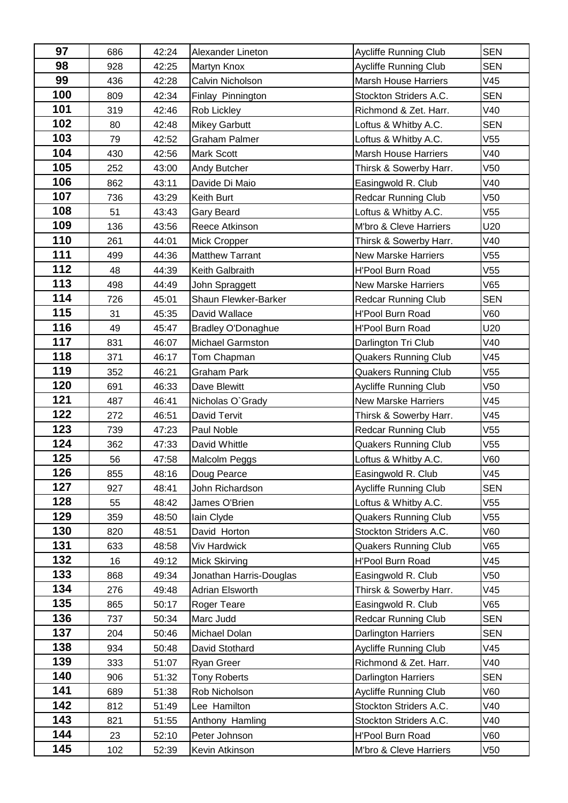| 97  | 686 | 42:24 | Alexander Lineton         | Aycliffe Running Club        | <b>SEN</b> |
|-----|-----|-------|---------------------------|------------------------------|------------|
| 98  | 928 | 42:25 | Martyn Knox               | Aycliffe Running Club        | <b>SEN</b> |
| 99  | 436 | 42:28 | Calvin Nicholson          | <b>Marsh House Harriers</b>  | V45        |
| 100 | 809 | 42:34 | Finlay Pinnington         | Stockton Striders A.C.       | <b>SEN</b> |
| 101 | 319 | 42:46 | Rob Lickley               | Richmond & Zet. Harr.        | V40        |
| 102 | 80  | 42:48 | <b>Mikey Garbutt</b>      | Loftus & Whitby A.C.         | <b>SEN</b> |
| 103 | 79  | 42:52 | <b>Graham Palmer</b>      | Loftus & Whitby A.C.         | V55        |
| 104 | 430 | 42:56 | <b>Mark Scott</b>         | <b>Marsh House Harriers</b>  | V40        |
| 105 | 252 | 43:00 | Andy Butcher              | Thirsk & Sowerby Harr.       | V50        |
| 106 | 862 | 43:11 | Davide Di Maio            | Easingwold R. Club           | V40        |
| 107 | 736 | 43:29 | Keith Burt                | <b>Redcar Running Club</b>   | V50        |
| 108 | 51  | 43:43 | <b>Gary Beard</b>         | Loftus & Whitby A.C.         | V55        |
| 109 | 136 | 43:56 | Reece Atkinson            | M'bro & Cleve Harriers       | U20        |
| 110 | 261 | 44:01 | <b>Mick Cropper</b>       | Thirsk & Sowerby Harr.       | V40        |
| 111 | 499 | 44:36 | <b>Matthew Tarrant</b>    | <b>New Marske Harriers</b>   | V55        |
| 112 | 48  | 44:39 | Keith Galbraith           | <b>H'Pool Burn Road</b>      | V55        |
| 113 | 498 | 44:49 | John Spraggett            | <b>New Marske Harriers</b>   | V65        |
| 114 | 726 | 45:01 | Shaun Flewker-Barker      | <b>Redcar Running Club</b>   | <b>SEN</b> |
| 115 | 31  | 45:35 | David Wallace             | H'Pool Burn Road             | V60        |
| 116 | 49  | 45:47 | <b>Bradley O'Donaghue</b> | <b>H'Pool Burn Road</b>      | U20        |
| 117 | 831 | 46:07 | <b>Michael Garmston</b>   | Darlington Tri Club          | V40        |
| 118 | 371 | 46:17 | Tom Chapman               | <b>Quakers Running Club</b>  | V45        |
| 119 | 352 | 46:21 | <b>Graham Park</b>        | <b>Quakers Running Club</b>  | V55        |
| 120 | 691 | 46:33 | Dave Blewitt              | Aycliffe Running Club        | V50        |
| 121 | 487 | 46:41 | Nicholas O'Grady          | New Marske Harriers          | V45        |
| 122 | 272 | 46:51 | <b>David Tervit</b>       | Thirsk & Sowerby Harr.       | V45        |
| 123 | 739 | 47:23 | Paul Noble                | <b>Redcar Running Club</b>   | V55        |
| 124 | 362 | 47:33 | David Whittle             | <b>Quakers Running Club</b>  | V55        |
| 125 | 56  | 47:58 | Malcolm Peggs             | Loftus & Whitby A.C.         | V60        |
| 126 | 855 | 48:16 | Doug Pearce               | Easingwold R. Club           | V45        |
| 127 | 927 | 48:41 | John Richardson           | <b>Aycliffe Running Club</b> | <b>SEN</b> |
| 128 | 55  | 48:42 | James O'Brien             | Loftus & Whitby A.C.         | V55        |
| 129 | 359 | 48:50 | lain Clyde                | <b>Quakers Running Club</b>  | V55        |
| 130 | 820 | 48:51 | David Horton              | Stockton Striders A.C.       | V60        |
| 131 | 633 | 48:58 | Viv Hardwick              | <b>Quakers Running Club</b>  | V65        |
| 132 | 16  | 49:12 | <b>Mick Skirving</b>      | H'Pool Burn Road             | V45        |
| 133 | 868 | 49:34 | Jonathan Harris-Douglas   | Easingwold R. Club           | V50        |
| 134 | 276 | 49:48 | <b>Adrian Elsworth</b>    | Thirsk & Sowerby Harr.       | V45        |
| 135 | 865 | 50:17 | Roger Teare               | Easingwold R. Club           | V65        |
| 136 | 737 | 50:34 | Marc Judd                 | <b>Redcar Running Club</b>   | <b>SEN</b> |
| 137 | 204 | 50:46 | Michael Dolan             | <b>Darlington Harriers</b>   | <b>SEN</b> |
| 138 | 934 | 50:48 | David Stothard            | Aycliffe Running Club        | V45        |
| 139 | 333 | 51:07 | <b>Ryan Greer</b>         | Richmond & Zet. Harr.        | V40        |
| 140 | 906 | 51:32 | <b>Tony Roberts</b>       | <b>Darlington Harriers</b>   | <b>SEN</b> |
| 141 | 689 | 51:38 | Rob Nicholson             | Aycliffe Running Club        | V60        |
| 142 | 812 | 51:49 | Lee Hamilton              | Stockton Striders A.C.       | V40        |
| 143 | 821 | 51:55 | Anthony Hamling           | Stockton Striders A.C.       | V40        |
| 144 | 23  | 52:10 | Peter Johnson             | H'Pool Burn Road             | V60        |
| 145 | 102 | 52:39 | Kevin Atkinson            | M'bro & Cleve Harriers       | V50        |